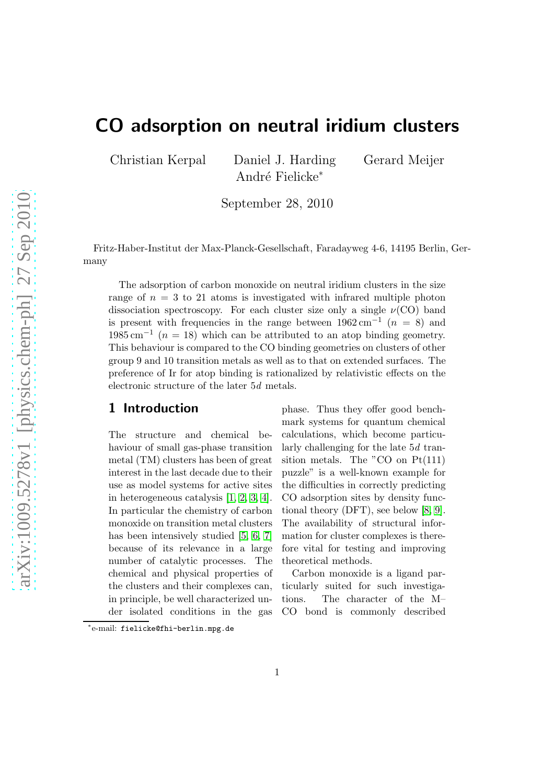# CO adsorption on neutral iridium clusters

Christian Kerpal Daniel J. Harding Gerard Meijer André Fielicke<sup>∗</sup>

September 28, 2010

Fritz-Haber-Institut der Max-Planck-Gesellschaft, Faradayweg 4-6, 14195 Berlin, Germany

The adsorption of carbon monoxide on neutral iridium clusters in the size range of  $n = 3$  to 21 atoms is investigated with infrared multiple photon dissociation spectroscopy. For each cluster size only a single  $\nu(CO)$  band is present with frequencies in the range between  $1962 \text{ cm}^{-1}$   $(n = 8)$  and  $1985 \text{ cm}^{-1}$  (n = 18) which can be attributed to an atop binding geometry. This behaviour is compared to the CO binding geometries on clusters of other group 9 and 10 transition metals as well as to that on extended surfaces. The preference of Ir for atop binding is rationalized by relativistic effects on the electronic structure of the later 5d metals.

#### 1 Introduction

The structure and chemical behaviour of small gas-phase transition metal (TM) clusters has been of great interest in the last decade due to their use as model systems for active sites in heterogeneous catalysis [\[1,](#page-7-0) [2,](#page-7-1) [3,](#page-7-2) [4\]](#page-7-3). In particular the chemistry of carbon monoxide on transition metal clusters has been intensively studied [\[5,](#page-7-4) [6,](#page-7-5) [7\]](#page-7-6) because of its relevance in a large number of catalytic processes. The chemical and physical properties of the clusters and their complexes can, in principle, be well characterized under isolated conditions in the gas phase. Thus they offer good benchmark systems for quantum chemical calculations, which become particularly challenging for the late 5d transition metals. The "CO on Pt(111) puzzle" is a well-known example for the difficulties in correctly predicting CO adsorption sites by density functional theory (DFT), see below [\[8,](#page-7-7) [9\]](#page-7-8). The availability of structural information for cluster complexes is therefore vital for testing and improving theoretical methods.

Carbon monoxide is a ligand particularly suited for such investigations. The character of the M– CO bond is commonly described

<sup>∗</sup> e-mail: fielicke@fhi-berlin.mpg.de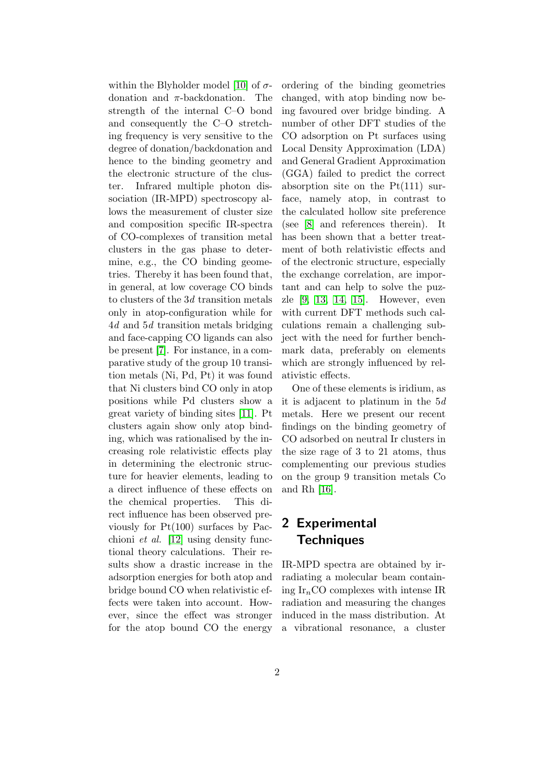within the Blyholder model [\[10\]](#page-7-9) of  $\sigma$ donation and  $\pi$ -backdonation. The strength of the internal C–O bond and consequently the C–O stretching frequency is very sensitive to the degree of donation/backdonation and hence to the binding geometry and the electronic structure of the cluster. Infrared multiple photon dissociation (IR-MPD) spectroscopy allows the measurement of cluster size and composition specific IR-spectra of CO-complexes of transition metal clusters in the gas phase to determine, e.g., the CO binding geometries. Thereby it has been found that, in general, at low coverage CO binds to clusters of the  $3d$  transition metals only in atop-configuration while for 4d and 5d transition metals bridging and face-capping CO ligands can also be present [\[7\]](#page-7-6). For instance, in a comparative study of the group 10 transition metals (Ni, Pd, Pt) it was found that Ni clusters bind CO only in atop positions while Pd clusters show a great variety of binding sites [\[11\]](#page-7-10). Pt clusters again show only atop binding, which was rationalised by the increasing role relativistic effects play in determining the electronic structure for heavier elements, leading to a direct influence of these effects on the chemical properties. This direct influence has been observed previously for Pt(100) surfaces by Pacchioni et al. [\[12\]](#page-7-11) using density functional theory calculations. Their results show a drastic increase in the adsorption energies for both atop and bridge bound CO when relativistic effects were taken into account. However, since the effect was stronger for the atop bound CO the energy

ordering of the binding geometries changed, with atop binding now being favoured over bridge binding. A number of other DFT studies of the CO adsorption on Pt surfaces using Local Density Approximation (LDA) and General Gradient Approximation (GGA) failed to predict the correct absorption site on the  $Pt(111)$  surface, namely atop, in contrast to the calculated hollow site preference (see [\[8\]](#page-7-7) and references therein). It has been shown that a better treatment of both relativistic effects and of the electronic structure, especially the exchange correlation, are important and can help to solve the puzzle [\[9,](#page-7-8) [13,](#page-7-12) [14,](#page-7-13) [15\]](#page-7-14). However, even with current DFT methods such calculations remain a challenging subject with the need for further benchmark data, preferably on elements which are strongly influenced by relativistic effects.

One of these elements is iridium, as it is adjacent to platinum in the 5d metals. Here we present our recent findings on the binding geometry of CO adsorbed on neutral Ir clusters in the size rage of 3 to 21 atoms, thus complementing our previous studies on the group 9 transition metals Co and Rh [\[16\]](#page-7-15).

## 2 Experimental **Techniques**

IR-MPD spectra are obtained by irradiating a molecular beam containing  $Ir_nCO$  complexes with intense IR radiation and measuring the changes induced in the mass distribution. At a vibrational resonance, a cluster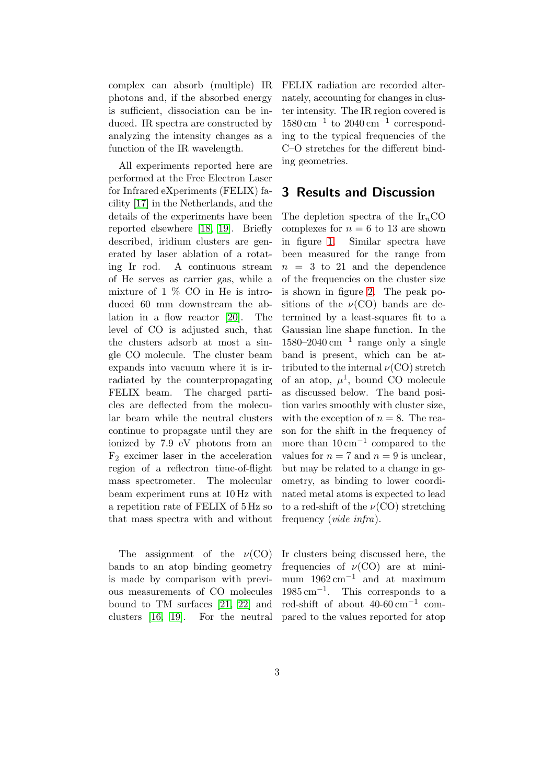complex can absorb (multiple) IR photons and, if the absorbed energy is sufficient, dissociation can be induced. IR spectra are constructed by analyzing the intensity changes as a function of the IR wavelength.

All experiments reported here are performed at the Free Electron Laser for Infrared eXperiments (FELIX) facility [\[17\]](#page-7-16) in the Netherlands, and the details of the experiments have been reported elsewhere [\[18,](#page-7-17) [19\]](#page-7-18). Briefly described, iridium clusters are generated by laser ablation of a rotating Ir rod. A continuous stream of He serves as carrier gas, while a mixture of  $1\%$  CO in He is introduced 60 mm downstream the ablation in a flow reactor [\[20\]](#page-8-0). The level of CO is adjusted such, that the clusters adsorb at most a single CO molecule. The cluster beam expands into vacuum where it is irradiated by the counterpropagating FELIX beam. The charged particles are deflected from the molecular beam while the neutral clusters continue to propagate until they are ionized by 7.9 eV photons from an  $F_2$  excimer laser in the acceleration region of a reflectron time-of-flight mass spectrometer. The molecular beam experiment runs at 10 Hz with a repetition rate of FELIX of 5 Hz so that mass spectra with and without

The assignment of the  $\nu(CO)$ bands to an atop binding geometry is made by comparison with previous measurements of CO molecules bound to TM surfaces [\[21,](#page-8-1) [22\]](#page-8-2) and clusters [\[16,](#page-7-15) [19\]](#page-7-18). For the neutral FELIX radiation are recorded alternately, accounting for changes in cluster intensity. The IR region covered is 1580 cm−<sup>1</sup> to 2040 cm−<sup>1</sup> corresponding to the typical frequencies of the C–O stretches for the different binding geometries.

#### 3 Results and Discussion

The depletion spectra of the  $Ir_nCO$ complexes for  $n = 6$  to 13 are shown in figure [1.](#page-3-0) Similar spectra have been measured for the range from  $n = 3$  to 21 and the dependence of the frequencies on the cluster size is shown in figure [2.](#page-5-0) The peak positions of the  $\nu(CO)$  bands are determined by a least-squares fit to a Gaussian line shape function. In the 1580–2040 cm−<sup>1</sup> range only a single band is present, which can be attributed to the internal  $\nu(CO)$  stretch of an atop,  $\mu^1$ , bound CO molecule as discussed below. The band position varies smoothly with cluster size, with the exception of  $n = 8$ . The reason for the shift in the frequency of more than  $10 \text{ cm}^{-1}$  compared to the values for  $n = 7$  and  $n = 9$  is unclear, but may be related to a change in geometry, as binding to lower coordinated metal atoms is expected to lead to a red-shift of the  $\nu(CO)$  stretching frequency (vide infra).

Ir clusters being discussed here, the frequencies of  $\nu(CO)$  are at minimum  $1962 \text{ cm}^{-1}$  and at maximum 1985 cm−<sup>1</sup> . This corresponds to a red-shift of about  $40-60 \text{ cm}^{-1}$  compared to the values reported for atop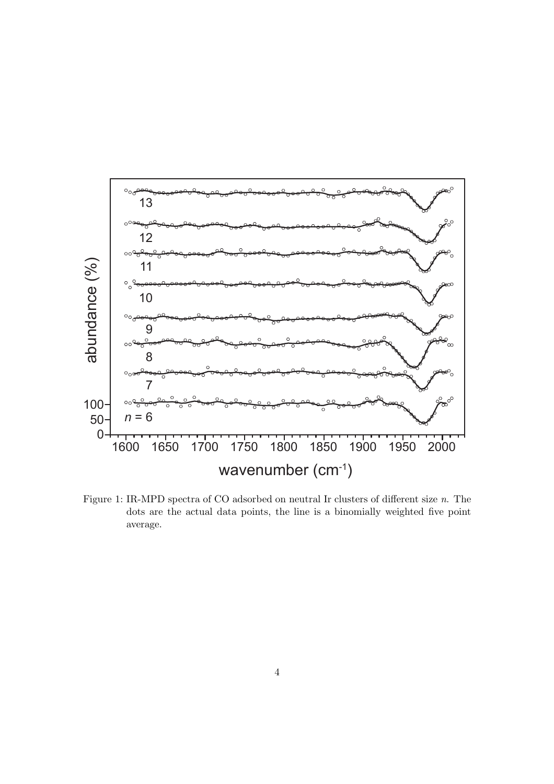

<span id="page-3-0"></span>Figure 1: IR-MPD spectra of CO adsorbed on neutral Ir clusters of different size n. The dots are the actual data points, the line is a binomially weighted five point average.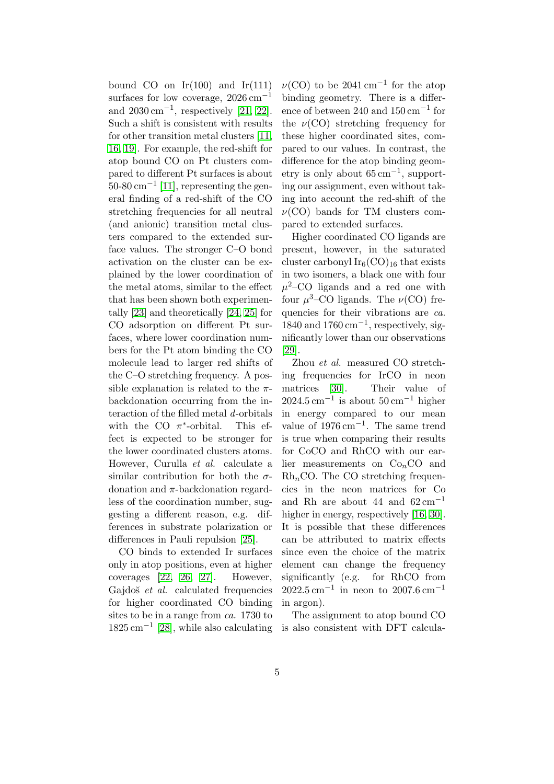bound CO on  $Ir(100)$  and  $Ir(111)$ surfaces for low coverage,  $2026 \text{ cm}^{-1}$ and  $2030 \text{ cm}^{-1}$ , respectively [\[21,](#page-8-1) [22\]](#page-8-2). Such a shift is consistent with results for other transition metal clusters [\[11,](#page-7-10) [16,](#page-7-15) [19\]](#page-7-18). For example, the red-shift for atop bound CO on Pt clusters compared to different Pt surfaces is about  $50$ -80 cm<sup>-1</sup> [\[11\]](#page-7-10), representing the general finding of a red-shift of the CO stretching frequencies for all neutral (and anionic) transition metal clusters compared to the extended surface values. The stronger C–O bond activation on the cluster can be explained by the lower coordination of the metal atoms, similar to the effect that has been shown both experimentally [\[23\]](#page-8-3) and theoretically [\[24,](#page-8-4) [25\]](#page-8-5) for CO adsorption on different Pt surfaces, where lower coordination numbers for the Pt atom binding the CO molecule lead to larger red shifts of the C–O stretching frequency. A possible explanation is related to the  $\pi$ backdonation occurring from the interaction of the filled metal d-orbitals with the CO  $\pi^*$ This effect is expected to be stronger for the lower coordinated clusters atoms. However, Curulla et al. calculate a similar contribution for both the  $\sigma$ donation and π-backdonation regardless of the coordination number, suggesting a different reason, e.g. differences in substrate polarization or differences in Pauli repulsion [\[25\]](#page-8-5).

CO binds to extended Ir surfaces only in atop positions, even at higher coverages [\[22,](#page-8-2) [26,](#page-8-6) [27\]](#page-8-7). However, Gajdoš *et al.* calculated frequencies for higher coordinated CO binding sites to be in a range from ca. 1730 to 1825 cm−<sup>1</sup> [\[28\]](#page-8-8), while also calculating

 $\nu(\text{CO})$  to be 2041 cm<sup>-1</sup> for the atop binding geometry. There is a difference of between 240 and 150 cm−<sup>1</sup> for the  $\nu(CO)$  stretching frequency for these higher coordinated sites, compared to our values. In contrast, the difference for the atop binding geometry is only about  $65 \text{ cm}^{-1}$ , supporting our assignment, even without taking into account the red-shift of the  $\nu(CO)$  bands for TM clusters compared to extended surfaces.

Higher coordinated CO ligands are present, however, in the saturated cluster carbonyl  $Ir_6(CO)_{16}$  that exists in two isomers, a black one with four  $\mu^2$ –CO ligands and a red one with four  $\mu^3$ –CO ligands. The  $\nu$ (CO) frequencies for their vibrations are *ca*.  $1840$  and  $1760 \text{ cm}^{-1}$ , respectively, significantly lower than our observations [\[29\]](#page-8-9).

Zhou et al. measured CO stretching frequencies for IrCO in neon matrices [\[30\]](#page-8-10). Their value of  $2024.5 \text{ cm}^{-1}$  is about  $50 \text{ cm}^{-1}$  higher in energy compared to our mean value of  $1976 \text{ cm}^{-1}$ . The same trend is true when comparing their results for CoCO and RhCO with our earlier measurements on  $Co<sub>n</sub>CO$  and  $Rh_nCO$ . The CO stretching frequencies in the neon matrices for Co and Rh are about 44 and  $62 \text{ cm}^{-1}$ higher in energy, respectively [\[16,](#page-7-15) [30\]](#page-8-10). It is possible that these differences can be attributed to matrix effects since even the choice of the matrix element can change the frequency significantly (e.g. for RhCO from  $2022.5 \text{ cm}^{-1}$  in neon to  $2007.6 \text{ cm}^{-1}$ in argon).

The assignment to atop bound CO is also consistent with DFT calcula-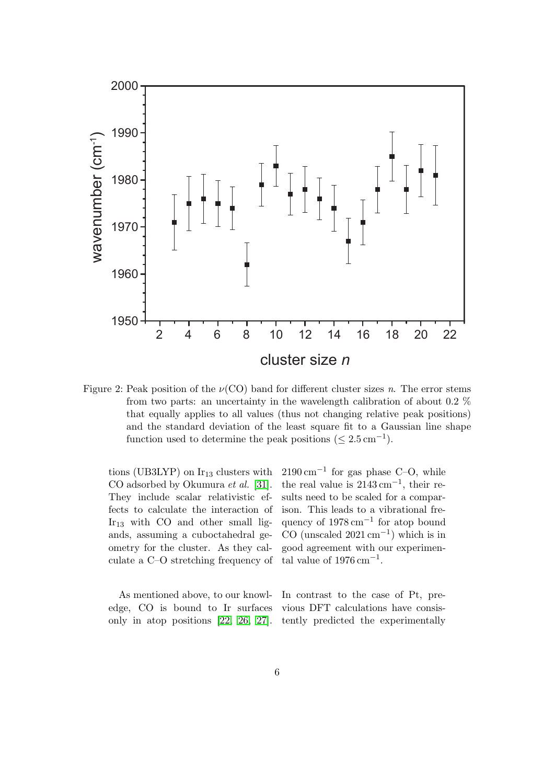

<span id="page-5-0"></span>Figure 2: Peak position of the  $\nu(CO)$  band for different cluster sizes n. The error stems from two parts: an uncertainty in the wavelength calibration of about 0.2 % that equally applies to all values (thus not changing relative peak positions) and the standard deviation of the least square fit to a Gaussian line shape function used to determine the peak positions  $(\leq 2.5 \,\text{cm}^{-1})$ .

tions (UB3LYP) on  $Ir_{13}$  clusters with CO adsorbed by Okumura et al. [\[31\]](#page-8-11). They include scalar relativistic effects to calculate the interaction of  $Ir_{13}$  with CO and other small ligands, assuming a cuboctahedral geometry for the cluster. As they calculate a C–O stretching frequency of

 $2190 \,\mathrm{cm}^{-1}$  for gas phase C–O, while the real value is  $2143 \text{ cm}^{-1}$ , their results need to be scaled for a comparison. This leads to a vibrational frequency of 1978 cm<sup>-1</sup> for atop bound  $CO \text{ (unscaled } 2021 \text{ cm}^{-1})$  which is in good agreement with our experimental value of  $1976 \text{ cm}^{-1}$ .

As mentioned above, to our knowledge, CO is bound to Ir surfaces only in atop positions [\[22,](#page-8-2) [26,](#page-8-6) [27\]](#page-8-7).

In contrast to the case of Pt, previous DFT calculations have consistently predicted the experimentally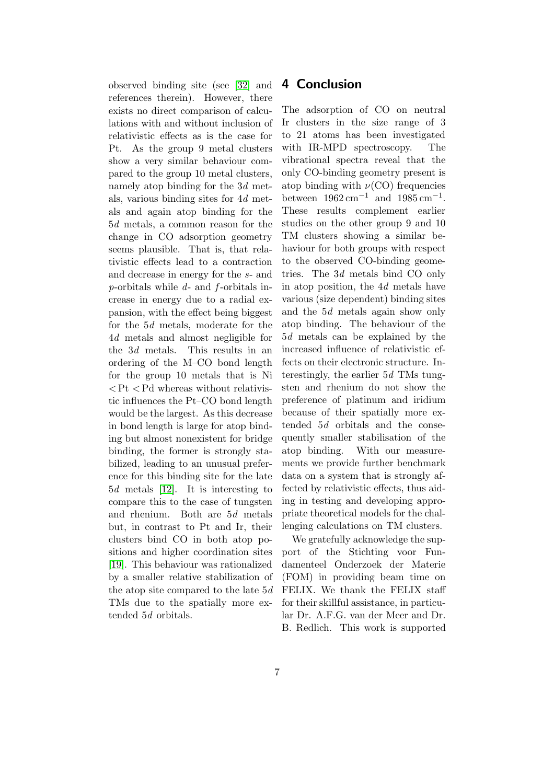observed binding site (see [\[32\]](#page-8-12) and references therein). However, there exists no direct comparison of calculations with and without inclusion of relativistic effects as is the case for Pt. As the group 9 metal clusters show a very similar behaviour compared to the group 10 metal clusters, namely atop binding for the 3d metals, various binding sites for 4d metals and again atop binding for the 5d metals, a common reason for the change in CO adsorption geometry seems plausible. That is, that relativistic effects lead to a contraction and decrease in energy for the s- and p-orbitals while  $d$ - and  $f$ -orbitals increase in energy due to a radial expansion, with the effect being biggest for the 5d metals, moderate for the 4d metals and almost negligible for the 3d metals. This results in an ordering of the M–CO bond length for the group 10 metals that is Ni  $P<$  Pt  $P<$  Pd whereas without relativistic influences the Pt–CO bond length would be the largest. As this decrease in bond length is large for atop binding but almost nonexistent for bridge binding, the former is strongly stabilized, leading to an unusual preference for this binding site for the late 5d metals [\[12\]](#page-7-11). It is interesting to compare this to the case of tungsten and rhenium. Both are 5d metals but, in contrast to Pt and Ir, their clusters bind CO in both atop positions and higher coordination sites [\[19\]](#page-7-18). This behaviour was rationalized by a smaller relative stabilization of the atop site compared to the late 5d TMs due to the spatially more extended 5d orbitals.

#### 4 Conclusion

The adsorption of CO on neutral Ir clusters in the size range of 3 to 21 atoms has been investigated with IR-MPD spectroscopy. The vibrational spectra reveal that the only CO-binding geometry present is atop binding with  $\nu(CO)$  frequencies between  $1962 \text{ cm}^{-1}$  and  $1985 \text{ cm}^{-1}$ . These results complement earlier studies on the other group 9 and 10 TM clusters showing a similar behaviour for both groups with respect to the observed CO-binding geometries. The 3d metals bind CO only in atop position, the 4d metals have various (size dependent) binding sites and the 5d metals again show only atop binding. The behaviour of the 5d metals can be explained by the increased influence of relativistic effects on their electronic structure. Interestingly, the earlier 5d TMs tungsten and rhenium do not show the preference of platinum and iridium because of their spatially more extended 5d orbitals and the consequently smaller stabilisation of the atop binding. With our measurements we provide further benchmark data on a system that is strongly affected by relativistic effects, thus aiding in testing and developing appropriate theoretical models for the challenging calculations on TM clusters.

We gratefully acknowledge the support of the Stichting voor Fundamenteel Onderzoek der Materie (FOM) in providing beam time on FELIX. We thank the FELIX staff for their skillful assistance, in particular Dr. A.F.G. van der Meer and Dr. B. Redlich. This work is supported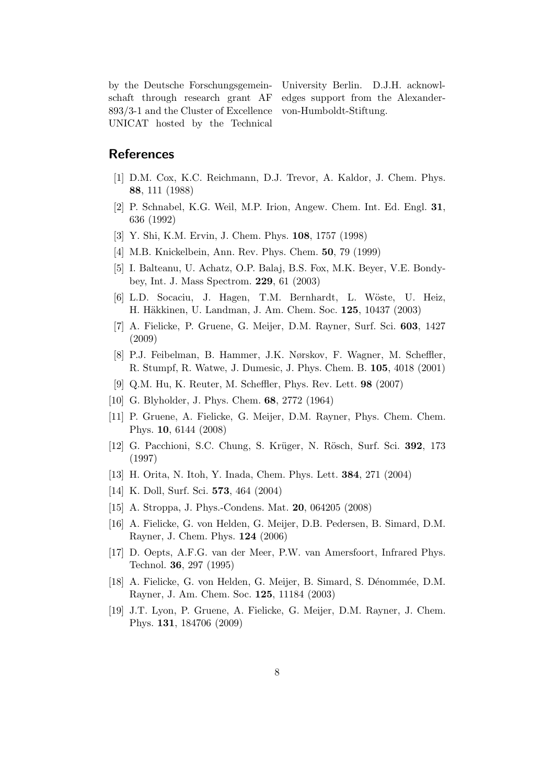by the Deutsche Forschungsgemeinschaft through research grant AF 893/3-1 and the Cluster of Excellence UNICAT hosted by the Technical

University Berlin. D.J.H. acknowledges support from the Alexandervon-Humboldt-Stiftung.

### <span id="page-7-0"></span>**References**

- <span id="page-7-1"></span>[1] D.M. Cox, K.C. Reichmann, D.J. Trevor, A. Kaldor, J. Chem. Phys. 88, 111 (1988)
- <span id="page-7-2"></span>[2] P. Schnabel, K.G. Weil, M.P. Irion, Angew. Chem. Int. Ed. Engl. 31, 636 (1992)
- <span id="page-7-3"></span>[3] Y. Shi, K.M. Ervin, J. Chem. Phys. 108, 1757 (1998)
- <span id="page-7-4"></span>[4] M.B. Knickelbein, Ann. Rev. Phys. Chem. 50, 79 (1999)
- <span id="page-7-5"></span>[5] I. Balteanu, U. Achatz, O.P. Balaj, B.S. Fox, M.K. Beyer, V.E. Bondybey, Int. J. Mass Spectrom. 229, 61 (2003)
- [6] L.D. Socaciu, J. Hagen, T.M. Bernhardt, L. W¨oste, U. Heiz, H. Häkkinen, U. Landman, J. Am. Chem. Soc. 125, 10437 (2003)
- <span id="page-7-6"></span>[7] A. Fielicke, P. Gruene, G. Meijer, D.M. Rayner, Surf. Sci. 603, 1427 (2009)
- <span id="page-7-7"></span>[8] P.J. Feibelman, B. Hammer, J.K. Nørskov, F. Wagner, M. Scheffler, R. Stumpf, R. Watwe, J. Dumesic, J. Phys. Chem. B. 105, 4018 (2001)
- <span id="page-7-8"></span>[9] Q.M. Hu, K. Reuter, M. Scheffler, Phys. Rev. Lett. 98 (2007)
- <span id="page-7-10"></span><span id="page-7-9"></span>[10] G. Blyholder, J. Phys. Chem. 68, 2772 (1964)
- <span id="page-7-11"></span>[11] P. Gruene, A. Fielicke, G. Meijer, D.M. Rayner, Phys. Chem. Chem. Phys. 10, 6144 (2008)
- [12] G. Pacchioni, S.C. Chung, S. Krüger, N. Rösch, Surf. Sci. 392, 173 (1997)
- <span id="page-7-13"></span><span id="page-7-12"></span>[13] H. Orita, N. Itoh, Y. Inada, Chem. Phys. Lett. 384, 271 (2004)
- <span id="page-7-14"></span>[14] K. Doll, Surf. Sci. 573, 464 (2004)
- <span id="page-7-15"></span>[15] A. Stroppa, J. Phys.-Condens. Mat. 20, 064205 (2008)
- [16] A. Fielicke, G. von Helden, G. Meijer, D.B. Pedersen, B. Simard, D.M. Rayner, J. Chem. Phys. 124 (2006)
- <span id="page-7-16"></span>[17] D. Oepts, A.F.G. van der Meer, P.W. van Amersfoort, Infrared Phys. Technol. 36, 297 (1995)
- <span id="page-7-17"></span>[18] A. Fielicke, G. von Helden, G. Meijer, B. Simard, S. Dénommée, D.M. Rayner, J. Am. Chem. Soc. 125, 11184 (2003)
- <span id="page-7-18"></span>[19] J.T. Lyon, P. Gruene, A. Fielicke, G. Meijer, D.M. Rayner, J. Chem. Phys. 131, 184706 (2009)